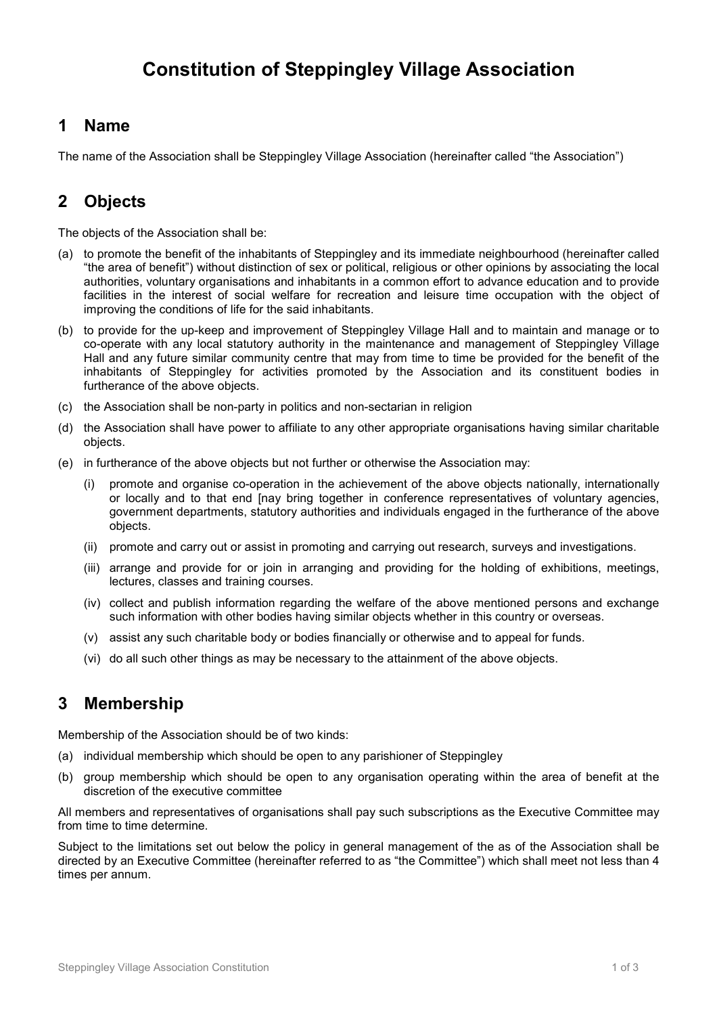# Constitution of Steppingley Village Association

#### 1 Name

The name of the Association shall be Steppingley Village Association (hereinafter called "the Association")

## 2 Objects

The objects of the Association shall be:

- (a) to promote the benefit of the inhabitants of Steppingley and its immediate neighbourhood (hereinafter called "the area of benefit") without distinction of sex or political, religious or other opinions by associating the local authorities, voluntary organisations and inhabitants in a common effort to advance education and to provide facilities in the interest of social welfare for recreation and leisure time occupation with the object of improving the conditions of life for the said inhabitants.
- (b) to provide for the up-keep and improvement of Steppingley Village Hall and to maintain and manage or to co-operate with any local statutory authority in the maintenance and management of Steppingley Village Hall and any future similar community centre that may from time to time be provided for the benefit of the inhabitants of Steppingley for activities promoted by the Association and its constituent bodies in furtherance of the above objects.
- (c) the Association shall be non-party in politics and non-sectarian in religion
- (d) the Association shall have power to affiliate to any other appropriate organisations having similar charitable objects.
- (e) in furtherance of the above objects but not further or otherwise the Association may:
	- (i) promote and organise co-operation in the achievement of the above objects nationally, internationally or locally and to that end [nay bring together in conference representatives of voluntary agencies, government departments, statutory authorities and individuals engaged in the furtherance of the above objects.
	- (ii) promote and carry out or assist in promoting and carrying out research, surveys and investigations.
	- (iii) arrange and provide for or join in arranging and providing for the holding of exhibitions, meetings, lectures, classes and training courses.
	- (iv) collect and publish information regarding the welfare of the above mentioned persons and exchange such information with other bodies having similar objects whether in this country or overseas.
	- (v) assist any such charitable body or bodies financially or otherwise and to appeal for funds.
	- (vi) do all such other things as may be necessary to the attainment of the above objects.

#### 3 Membership

Membership of the Association should be of two kinds:

- (a) individual membership which should be open to any parishioner of Steppingley
- (b) group membership which should be open to any organisation operating within the area of benefit at the discretion of the executive committee

All members and representatives of organisations shall pay such subscriptions as the Executive Committee may from time to time determine.

Subject to the limitations set out below the policy in general management of the as of the Association shall be directed by an Executive Committee (hereinafter referred to as "the Committee") which shall meet not less than 4 times per annum.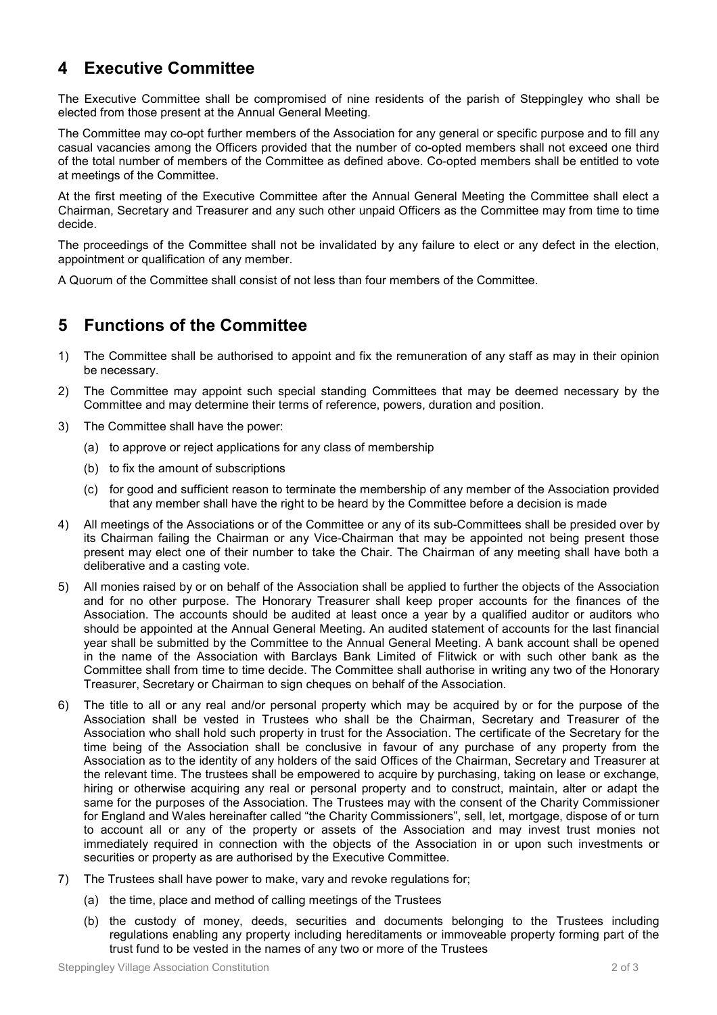#### 4 Executive Committee

The Executive Committee shall be compromised of nine residents of the parish of Steppingley who shall be elected from those present at the Annual General Meeting.

The Committee may co-opt further members of the Association for any general or specific purpose and to fill any casual vacancies among the Officers provided that the number of co-opted members shall not exceed one third of the total number of members of the Committee as defined above. Co-opted members shall be entitled to vote at meetings of the Committee.

At the first meeting of the Executive Committee after the Annual General Meeting the Committee shall elect a Chairman, Secretary and Treasurer and any such other unpaid Officers as the Committee may from time to time decide.

The proceedings of the Committee shall not be invalidated by any failure to elect or any defect in the election, appointment or qualification of any member.

A Quorum of the Committee shall consist of not less than four members of the Committee.

#### 5 Functions of the Committee

- 1) The Committee shall be authorised to appoint and fix the remuneration of any staff as may in their opinion be necessary.
- 2) The Committee may appoint such special standing Committees that may be deemed necessary by the Committee and may determine their terms of reference, powers, duration and position.
- 3) The Committee shall have the power:
	- (a) to approve or reject applications for any class of membership
	- (b) to fix the amount of subscriptions
	- (c) for good and sufficient reason to terminate the membership of any member of the Association provided that any member shall have the right to be heard by the Committee before a decision is made
- 4) All meetings of the Associations or of the Committee or any of its sub-Committees shall be presided over by its Chairman failing the Chairman or any Vice-Chairman that may be appointed not being present those present may elect one of their number to take the Chair. The Chairman of any meeting shall have both a deliberative and a casting vote.
- 5) All monies raised by or on behalf of the Association shall be applied to further the objects of the Association and for no other purpose. The Honorary Treasurer shall keep proper accounts for the finances of the Association. The accounts should be audited at least once a year by a qualified auditor or auditors who should be appointed at the Annual General Meeting. An audited statement of accounts for the last financial year shall be submitted by the Committee to the Annual General Meeting. A bank account shall be opened in the name of the Association with Barclays Bank Limited of Flitwick or with such other bank as the Committee shall from time to time decide. The Committee shall authorise in writing any two of the Honorary Treasurer, Secretary or Chairman to sign cheques on behalf of the Association.
- 6) The title to all or any real and/or personal property which may be acquired by or for the purpose of the Association shall be vested in Trustees who shall be the Chairman, Secretary and Treasurer of the Association who shall hold such property in trust for the Association. The certificate of the Secretary for the time being of the Association shall be conclusive in favour of any purchase of any property from the Association as to the identity of any holders of the said Offices of the Chairman, Secretary and Treasurer at the relevant time. The trustees shall be empowered to acquire by purchasing, taking on lease or exchange, hiring or otherwise acquiring any real or personal property and to construct, maintain, alter or adapt the same for the purposes of the Association. The Trustees may with the consent of the Charity Commissioner for England and Wales hereinafter called "the Charity Commissioners", sell, let, mortgage, dispose of or turn to account all or any of the property or assets of the Association and may invest trust monies not immediately required in connection with the objects of the Association in or upon such investments or securities or property as are authorised by the Executive Committee.
- 7) The Trustees shall have power to make, vary and revoke regulations for;
	- (a) the time, place and method of calling meetings of the Trustees
	- (b) the custody of money, deeds, securities and documents belonging to the Trustees including regulations enabling any property including hereditaments or immoveable property forming part of the trust fund to be vested in the names of any two or more of the Trustees